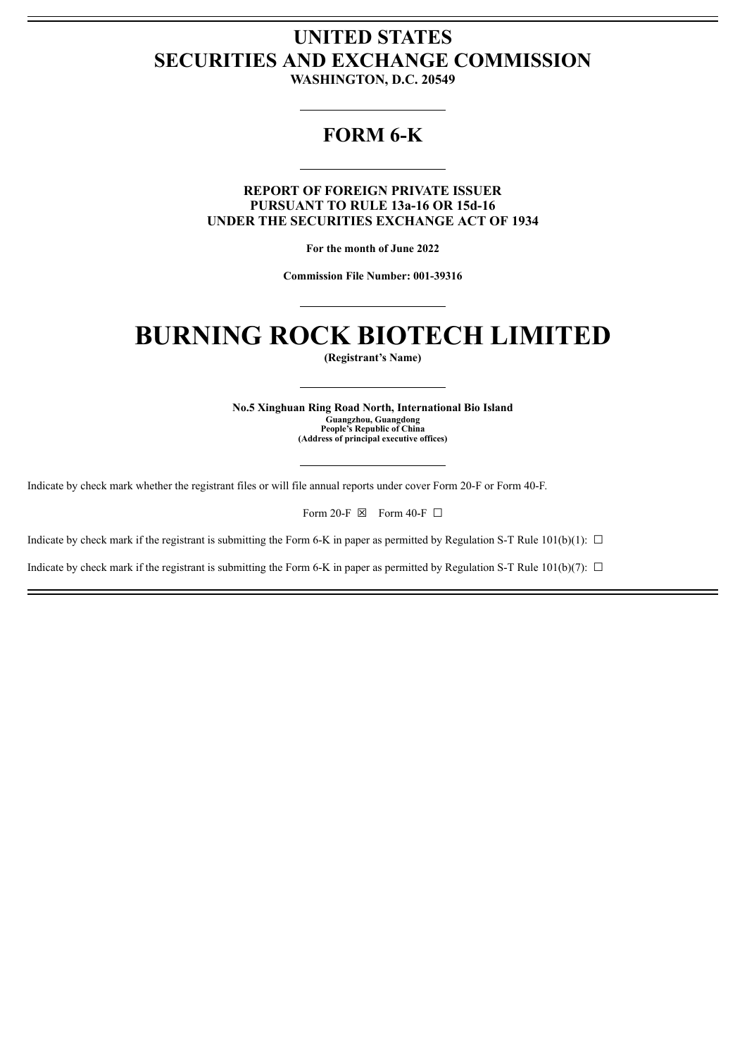# **UNITED STATES SECURITIES AND EXCHANGE COMMISSION**

**WASHINGTON, D.C. 20549**

# **FORM 6-K**

**REPORT OF FOREIGN PRIVATE ISSUER PURSUANT TO RULE 13a-16 OR 15d-16 UNDER THE SECURITIES EXCHANGE ACT OF 1934**

**For the month of June 2022**

**Commission File Number: 001-39316**

# **BURNING ROCK BIOTECH LIMITED**

**(Registrant's Name)**

**No.5 Xinghuan Ring Road North, International Bio Island Guangzhou, Guangdong People's Republic of China (Address of principal executive offices)**

Indicate by check mark whether the registrant files or will file annual reports under cover Form 20-F or Form 40-F.

Form 20-F  $\boxtimes$  Form 40-F  $\Box$ 

Indicate by check mark if the registrant is submitting the Form 6-K in paper as permitted by Regulation S-T Rule 101(b)(1):  $\Box$ 

Indicate by check mark if the registrant is submitting the Form 6-K in paper as permitted by Regulation S-T Rule 101(b)(7):  $\Box$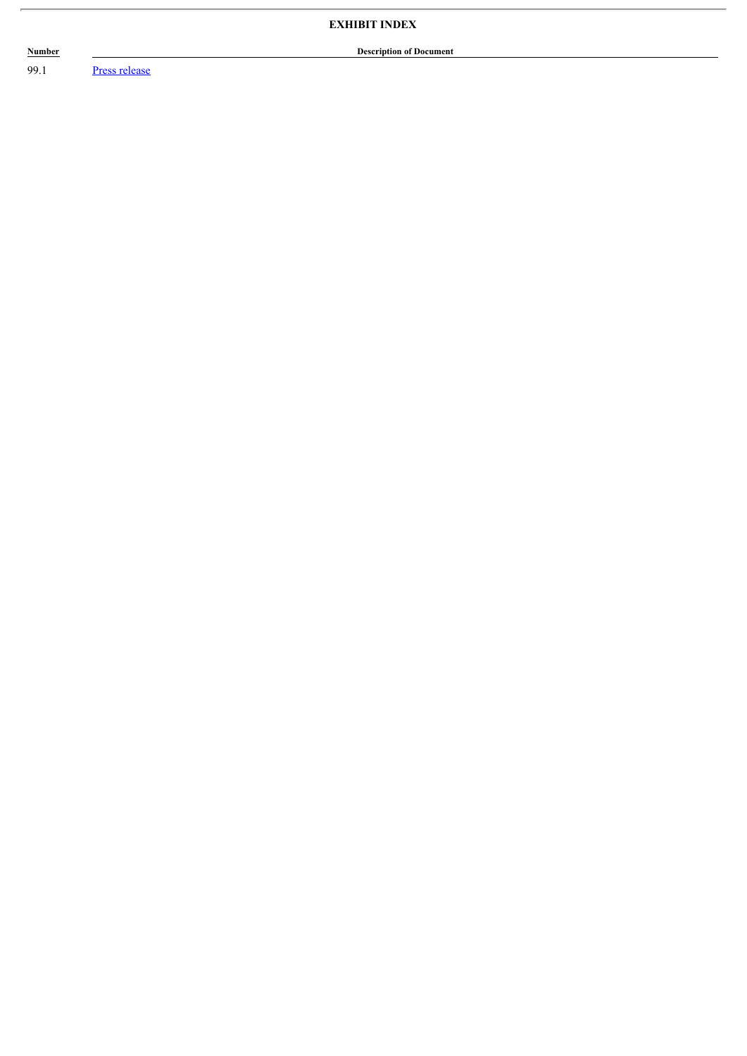## **EXHIBIT INDEX**

## **Description of Document**

**Number** 

99.1 Press release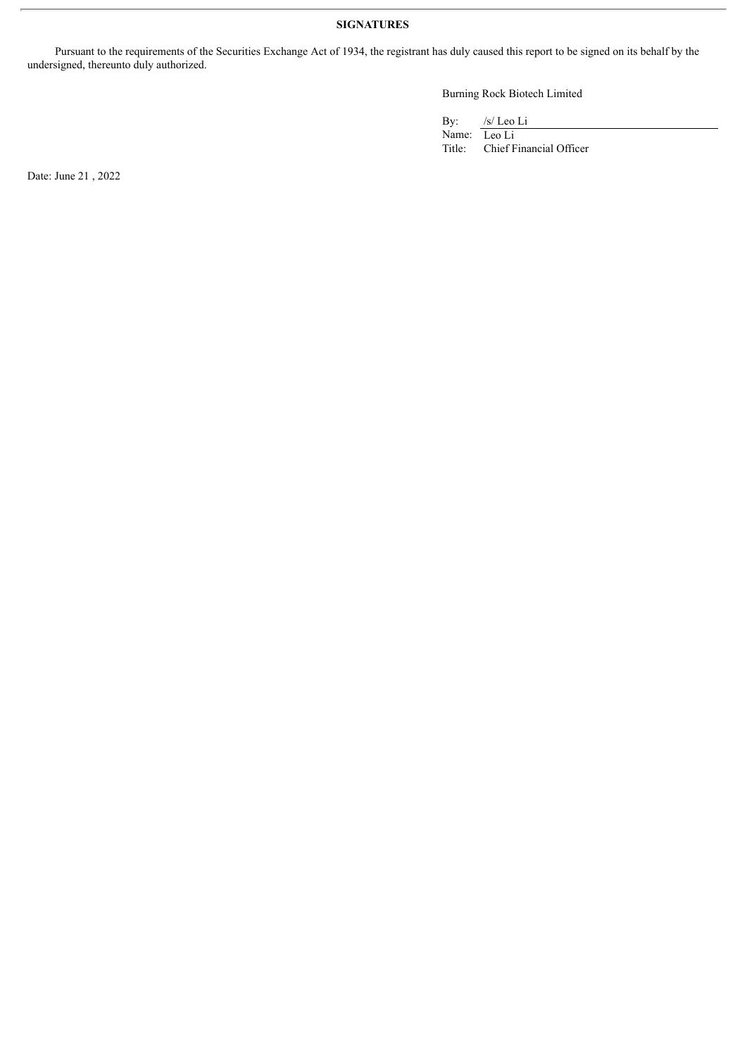### **SIGNATURES**

Pursuant to the requirements of the Securities Exchange Act of 1934, the registrant has duly caused this report to be signed on its behalf by the undersigned, thereunto duly authorized.

Burning Rock Biotech Limited

By: /s/ Leo Li

Name: Leo Li<br>Title: Chief F Chief Financial Officer

Date: June 21 , 2022